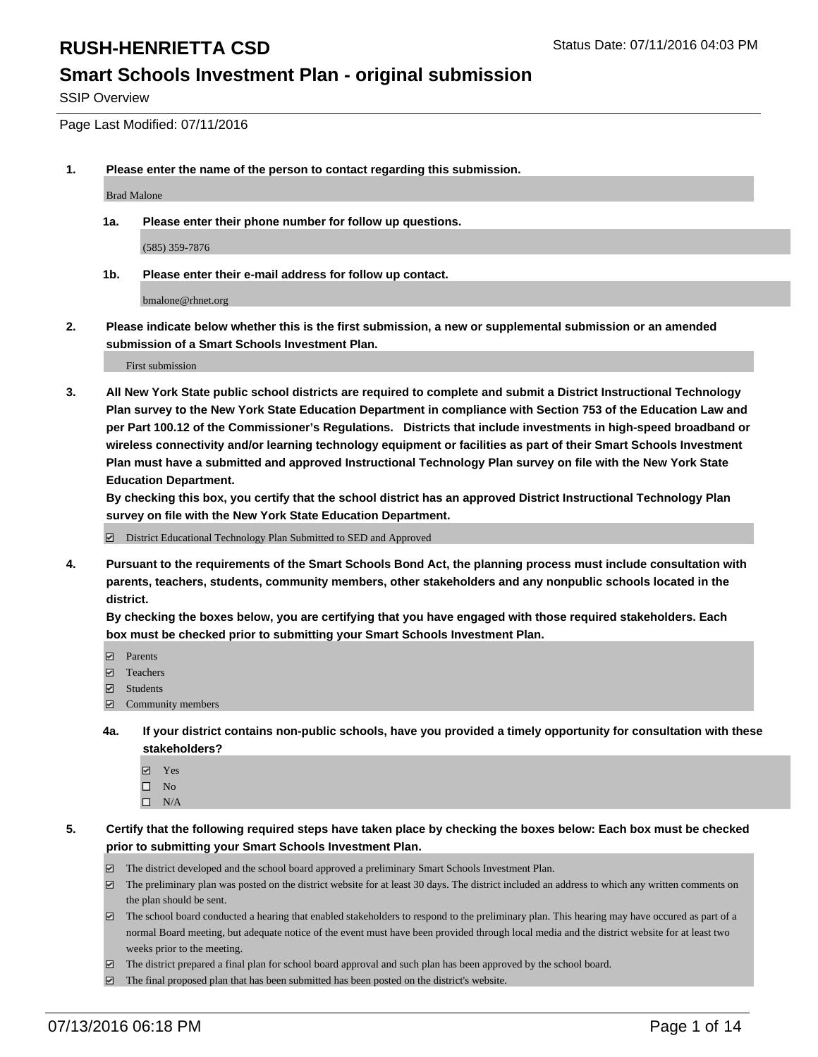#### **Smart Schools Investment Plan - original submission**

SSIP Overview

Page Last Modified: 07/11/2016

**1. Please enter the name of the person to contact regarding this submission.**

Brad Malone

**1a. Please enter their phone number for follow up questions.**

(585) 359-7876

**1b. Please enter their e-mail address for follow up contact.**

bmalone@rhnet.org

**2. Please indicate below whether this is the first submission, a new or supplemental submission or an amended submission of a Smart Schools Investment Plan.**

First submission

**3. All New York State public school districts are required to complete and submit a District Instructional Technology Plan survey to the New York State Education Department in compliance with Section 753 of the Education Law and per Part 100.12 of the Commissioner's Regulations. Districts that include investments in high-speed broadband or wireless connectivity and/or learning technology equipment or facilities as part of their Smart Schools Investment Plan must have a submitted and approved Instructional Technology Plan survey on file with the New York State Education Department.** 

**By checking this box, you certify that the school district has an approved District Instructional Technology Plan survey on file with the New York State Education Department.**

District Educational Technology Plan Submitted to SED and Approved

**4. Pursuant to the requirements of the Smart Schools Bond Act, the planning process must include consultation with parents, teachers, students, community members, other stakeholders and any nonpublic schools located in the district.** 

**By checking the boxes below, you are certifying that you have engaged with those required stakeholders. Each box must be checked prior to submitting your Smart Schools Investment Plan.**

- **Parents**
- Teachers
- Students
- Community members
- **4a. If your district contains non-public schools, have you provided a timely opportunity for consultation with these stakeholders?**
	- Yes  $\square$  No
	- $\square$  N/A
- **5. Certify that the following required steps have taken place by checking the boxes below: Each box must be checked prior to submitting your Smart Schools Investment Plan.**
	- The district developed and the school board approved a preliminary Smart Schools Investment Plan.
	- $\Box$  The preliminary plan was posted on the district website for at least 30 days. The district included an address to which any written comments on the plan should be sent.
	- $\Box$  The school board conducted a hearing that enabled stakeholders to respond to the preliminary plan. This hearing may have occured as part of a normal Board meeting, but adequate notice of the event must have been provided through local media and the district website for at least two weeks prior to the meeting.
	- The district prepared a final plan for school board approval and such plan has been approved by the school board.
	- $\boxdot$  The final proposed plan that has been submitted has been posted on the district's website.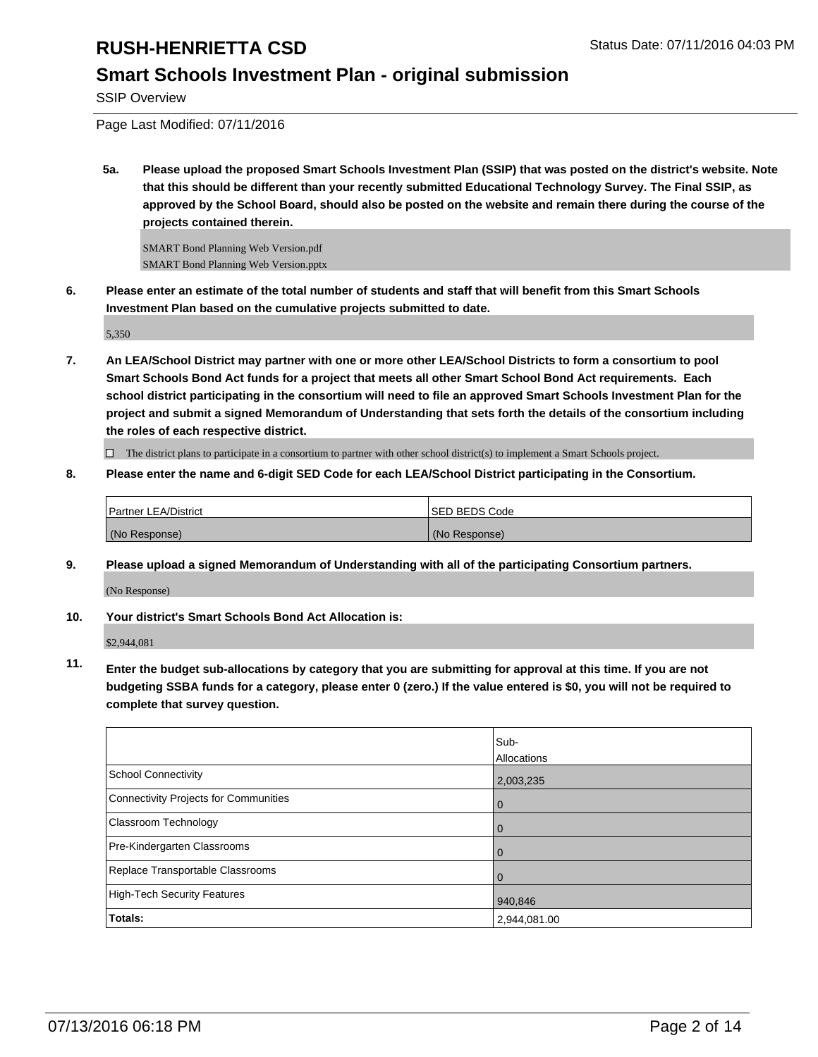### **Smart Schools Investment Plan - original submission**

SSIP Overview

Page Last Modified: 07/11/2016

**5a. Please upload the proposed Smart Schools Investment Plan (SSIP) that was posted on the district's website. Note that this should be different than your recently submitted Educational Technology Survey. The Final SSIP, as approved by the School Board, should also be posted on the website and remain there during the course of the projects contained therein.**

SMART Bond Planning Web Version.pdf SMART Bond Planning Web Version.pptx

**6. Please enter an estimate of the total number of students and staff that will benefit from this Smart Schools Investment Plan based on the cumulative projects submitted to date.**

5,350

**7. An LEA/School District may partner with one or more other LEA/School Districts to form a consortium to pool Smart Schools Bond Act funds for a project that meets all other Smart School Bond Act requirements. Each school district participating in the consortium will need to file an approved Smart Schools Investment Plan for the project and submit a signed Memorandum of Understanding that sets forth the details of the consortium including the roles of each respective district.**

 $\Box$  The district plans to participate in a consortium to partner with other school district(s) to implement a Smart Schools project.

**8. Please enter the name and 6-digit SED Code for each LEA/School District participating in the Consortium.**

| <b>Partner LEA/District</b> | <b>ISED BEDS Code</b> |
|-----------------------------|-----------------------|
| (No Response)               | (No Response)         |

**9. Please upload a signed Memorandum of Understanding with all of the participating Consortium partners.**

(No Response)

#### **10. Your district's Smart Schools Bond Act Allocation is:**

\$2,944,081

**11. Enter the budget sub-allocations by category that you are submitting for approval at this time. If you are not budgeting SSBA funds for a category, please enter 0 (zero.) If the value entered is \$0, you will not be required to complete that survey question.**

|                                       | Sub-<br>Allocations |
|---------------------------------------|---------------------|
| School Connectivity                   | 2,003,235           |
| Connectivity Projects for Communities | $\Omega$            |
| <b>Classroom Technology</b>           |                     |
| Pre-Kindergarten Classrooms           |                     |
| Replace Transportable Classrooms      |                     |
| High-Tech Security Features           | 940,846             |
| Totals:                               | 2,944,081.00        |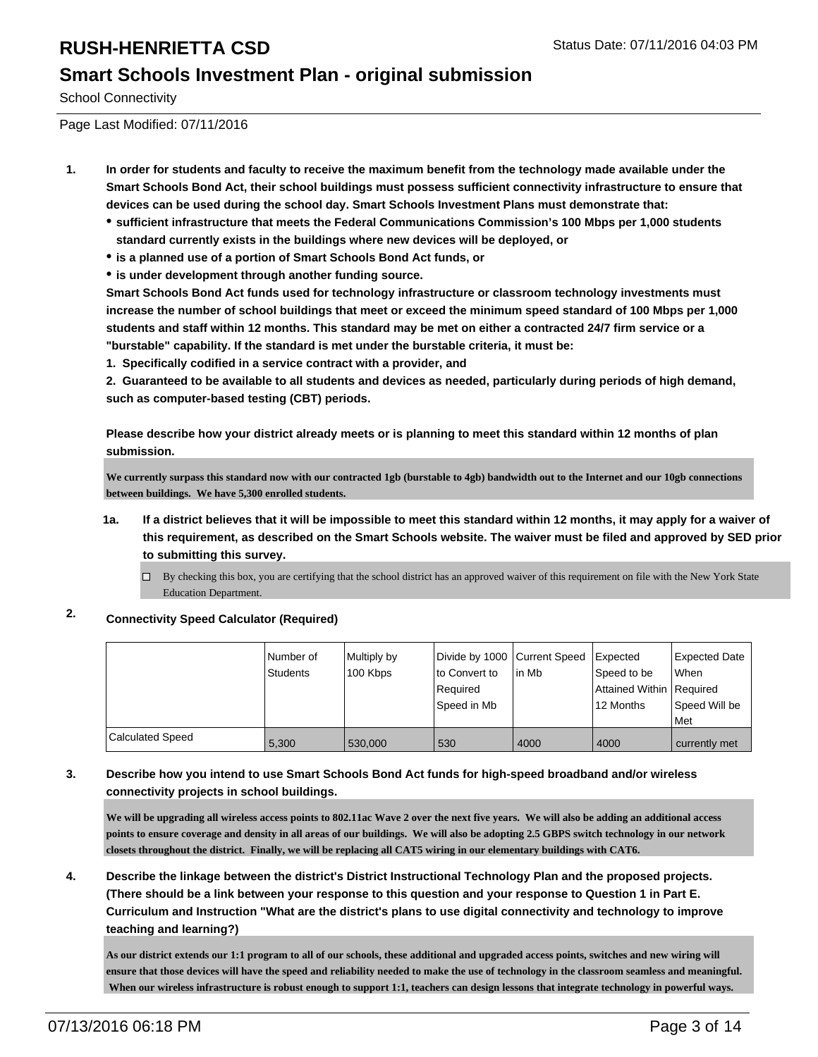#### **Smart Schools Investment Plan - original submission**

School Connectivity

Page Last Modified: 07/11/2016

- **1. In order for students and faculty to receive the maximum benefit from the technology made available under the Smart Schools Bond Act, their school buildings must possess sufficient connectivity infrastructure to ensure that devices can be used during the school day. Smart Schools Investment Plans must demonstrate that:**
	- **sufficient infrastructure that meets the Federal Communications Commission's 100 Mbps per 1,000 students standard currently exists in the buildings where new devices will be deployed, or**
	- **is a planned use of a portion of Smart Schools Bond Act funds, or**
	- **is under development through another funding source.**

**Smart Schools Bond Act funds used for technology infrastructure or classroom technology investments must increase the number of school buildings that meet or exceed the minimum speed standard of 100 Mbps per 1,000 students and staff within 12 months. This standard may be met on either a contracted 24/7 firm service or a "burstable" capability. If the standard is met under the burstable criteria, it must be:**

**1. Specifically codified in a service contract with a provider, and**

**2. Guaranteed to be available to all students and devices as needed, particularly during periods of high demand, such as computer-based testing (CBT) periods.**

**Please describe how your district already meets or is planning to meet this standard within 12 months of plan submission.**

**We currently surpass this standard now with our contracted 1gb (burstable to 4gb) bandwidth out to the Internet and our 10gb connections between buildings. We have 5,300 enrolled students.**

- **1a. If a district believes that it will be impossible to meet this standard within 12 months, it may apply for a waiver of this requirement, as described on the Smart Schools website. The waiver must be filed and approved by SED prior to submitting this survey.**
	- $\Box$  By checking this box, you are certifying that the school district has an approved waiver of this requirement on file with the New York State Education Department.

#### **2. Connectivity Speed Calculator (Required)**

|                  | Number of<br>Students | Multiply by<br>100 Kbps | Divide by 1000 Current Speed<br>to Convert to<br>Required<br>Speed in Mb | lin Mb | Expected<br>Speed to be<br>Attained Within Required<br>12 Months | <b>Expected Date</b><br><b>When</b><br>Speed Will be<br><b>Met</b> |
|------------------|-----------------------|-------------------------|--------------------------------------------------------------------------|--------|------------------------------------------------------------------|--------------------------------------------------------------------|
| Calculated Speed | 5.300                 | 530,000                 | 530                                                                      | 4000   | 4000                                                             | currently met                                                      |

#### **3. Describe how you intend to use Smart Schools Bond Act funds for high-speed broadband and/or wireless connectivity projects in school buildings.**

**We will be upgrading all wireless access points to 802.11ac Wave 2 over the next five years. We will also be adding an additional access points to ensure coverage and density in all areas of our buildings. We will also be adopting 2.5 GBPS switch technology in our network closets throughout the district. Finally, we will be replacing all CAT5 wiring in our elementary buildings with CAT6.**

**4. Describe the linkage between the district's District Instructional Technology Plan and the proposed projects. (There should be a link between your response to this question and your response to Question 1 in Part E. Curriculum and Instruction "What are the district's plans to use digital connectivity and technology to improve teaching and learning?)**

**As our district extends our 1:1 program to all of our schools, these additional and upgraded access points, switches and new wiring will ensure that those devices will have the speed and reliability needed to make the use of technology in the classroom seamless and meaningful. When our wireless infrastructure is robust enough to support 1:1, teachers can design lessons that integrate technology in powerful ways.**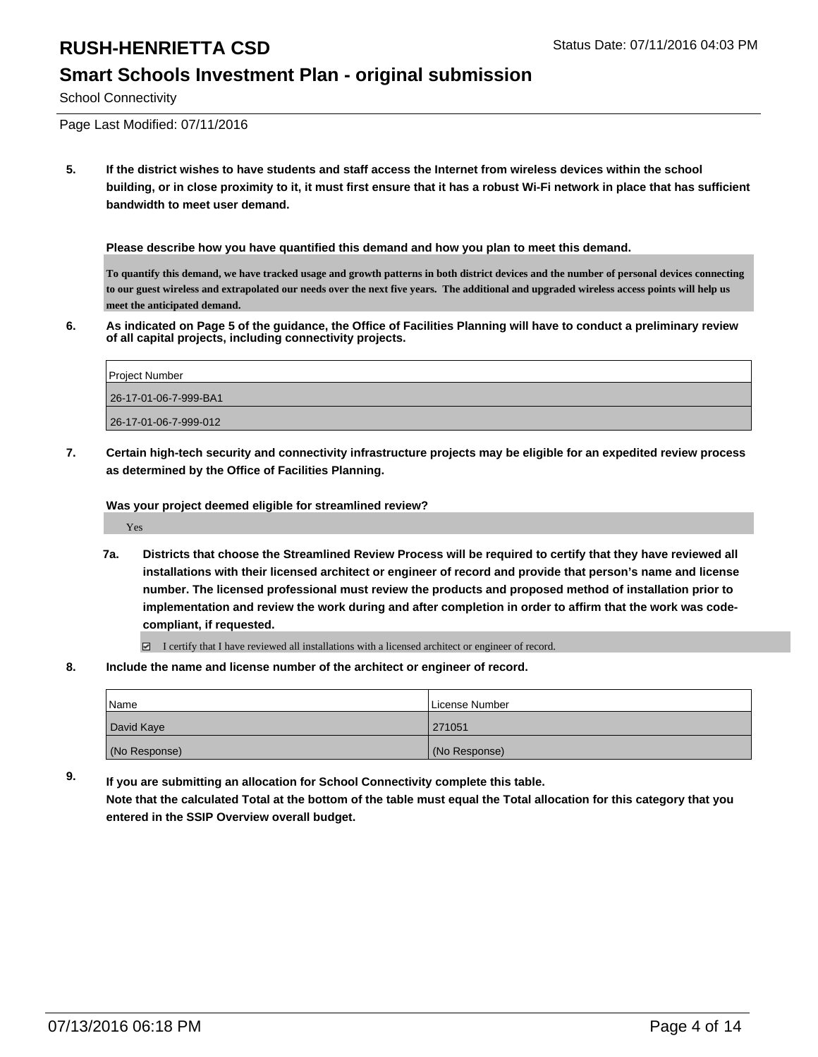#### **Smart Schools Investment Plan - original submission**

School Connectivity

Page Last Modified: 07/11/2016

**5. If the district wishes to have students and staff access the Internet from wireless devices within the school building, or in close proximity to it, it must first ensure that it has a robust Wi-Fi network in place that has sufficient bandwidth to meet user demand.**

**Please describe how you have quantified this demand and how you plan to meet this demand.**

**To quantify this demand, we have tracked usage and growth patterns in both district devices and the number of personal devices connecting to our guest wireless and extrapolated our needs over the next five years. The additional and upgraded wireless access points will help us meet the anticipated demand.**

**6. As indicated on Page 5 of the guidance, the Office of Facilities Planning will have to conduct a preliminary review of all capital projects, including connectivity projects.**

| <b>Project Number</b> |
|-----------------------|
| 26-17-01-06-7-999-BA1 |
| 26-17-01-06-7-999-012 |

**7. Certain high-tech security and connectivity infrastructure projects may be eligible for an expedited review process as determined by the Office of Facilities Planning.**

**Was your project deemed eligible for streamlined review?**

Yes

**7a. Districts that choose the Streamlined Review Process will be required to certify that they have reviewed all installations with their licensed architect or engineer of record and provide that person's name and license number. The licensed professional must review the products and proposed method of installation prior to implementation and review the work during and after completion in order to affirm that the work was codecompliant, if requested.**

 $\Box$  I certify that I have reviewed all installations with a licensed architect or engineer of record.

**8. Include the name and license number of the architect or engineer of record.**

| Name          | License Number |
|---------------|----------------|
| David Kaye    | 271051         |
| (No Response) | (No Response)  |

**9. If you are submitting an allocation for School Connectivity complete this table. Note that the calculated Total at the bottom of the table must equal the Total allocation for this category that you entered in the SSIP Overview overall budget.**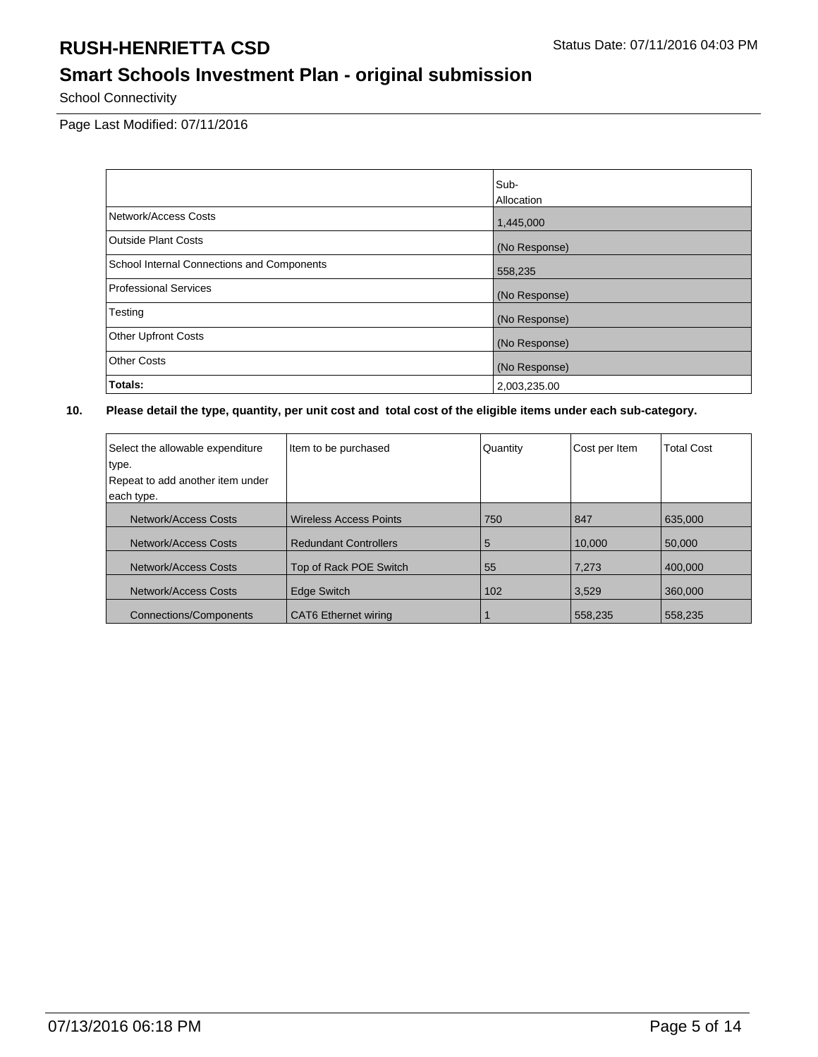# **Smart Schools Investment Plan - original submission**

School Connectivity

Page Last Modified: 07/11/2016

|                                            | Sub-          |
|--------------------------------------------|---------------|
|                                            | Allocation    |
| Network/Access Costs                       | 1,445,000     |
| <b>Outside Plant Costs</b>                 | (No Response) |
| School Internal Connections and Components | 558,235       |
| Professional Services                      | (No Response) |
| Testing                                    | (No Response) |
| <b>Other Upfront Costs</b>                 | (No Response) |
| <b>Other Costs</b>                         | (No Response) |
| Totals:                                    | 2,003,235.00  |

| Select the allowable expenditure<br>type.<br>Repeat to add another item under<br>each type. | Item to be purchased          | Quantity | Cost per Item | <b>Total Cost</b> |
|---------------------------------------------------------------------------------------------|-------------------------------|----------|---------------|-------------------|
| Network/Access Costs                                                                        | <b>Wireless Access Points</b> | 750      | 847           | 635,000           |
| Network/Access Costs                                                                        | <b>Redundant Controllers</b>  | 5        | 10.000        | 50,000            |
| Network/Access Costs                                                                        | Top of Rack POE Switch        | 55       | 7,273         | 400.000           |
| Network/Access Costs                                                                        | <b>Edge Switch</b>            | 102      | 3,529         | 360,000           |
| <b>Connections/Components</b>                                                               | <b>CAT6</b> Ethernet wiring   |          | 558,235       | 558,235           |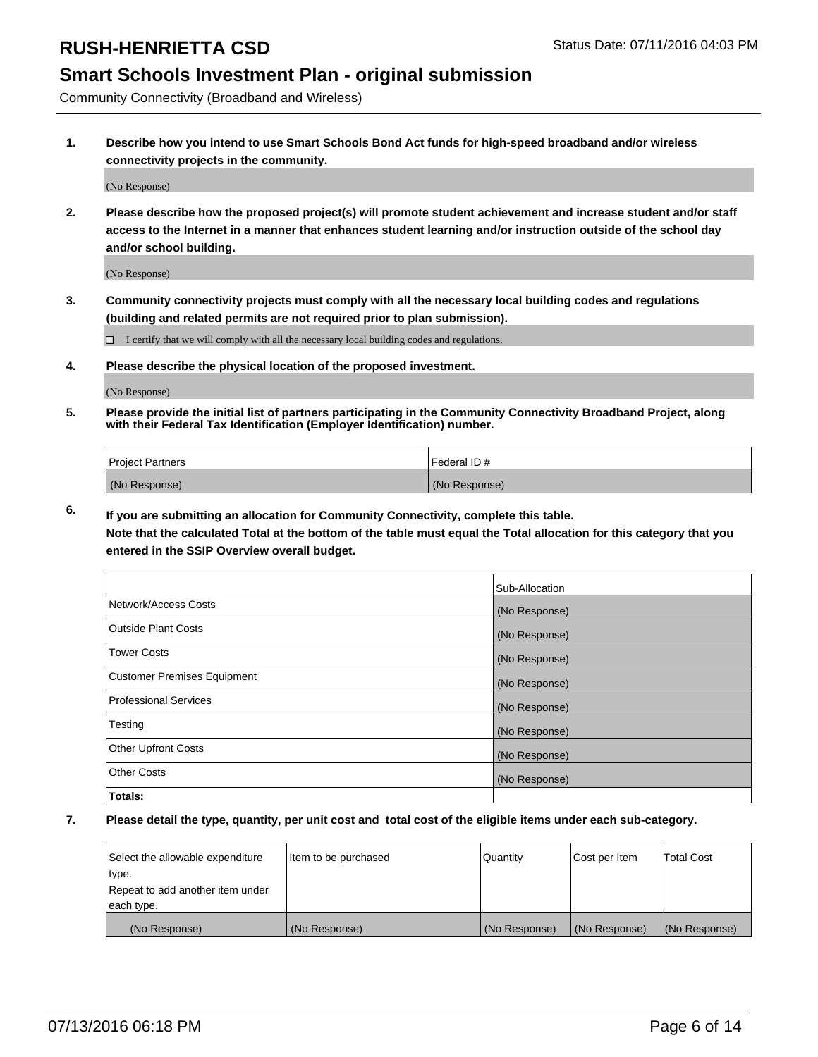### **Smart Schools Investment Plan - original submission**

Community Connectivity (Broadband and Wireless)

**1. Describe how you intend to use Smart Schools Bond Act funds for high-speed broadband and/or wireless connectivity projects in the community.**

(No Response)

**2. Please describe how the proposed project(s) will promote student achievement and increase student and/or staff access to the Internet in a manner that enhances student learning and/or instruction outside of the school day and/or school building.**

(No Response)

**3. Community connectivity projects must comply with all the necessary local building codes and regulations (building and related permits are not required prior to plan submission).**

 $\Box$  I certify that we will comply with all the necessary local building codes and regulations.

**4. Please describe the physical location of the proposed investment.**

(No Response)

**5. Please provide the initial list of partners participating in the Community Connectivity Broadband Project, along with their Federal Tax Identification (Employer Identification) number.**

| <b>Project Partners</b> | <b>IFederal ID#</b> |
|-------------------------|---------------------|
| (No Response)           | (No Response)       |

**6. If you are submitting an allocation for Community Connectivity, complete this table.**

**Note that the calculated Total at the bottom of the table must equal the Total allocation for this category that you entered in the SSIP Overview overall budget.**

|                                    | Sub-Allocation |
|------------------------------------|----------------|
| Network/Access Costs               | (No Response)  |
| Outside Plant Costs                | (No Response)  |
| Tower Costs                        | (No Response)  |
| <b>Customer Premises Equipment</b> | (No Response)  |
| Professional Services              | (No Response)  |
| Testing                            | (No Response)  |
| <b>Other Upfront Costs</b>         | (No Response)  |
| Other Costs                        | (No Response)  |
| Totals:                            |                |

| Select the allowable expenditure | litem to be purchased | Quantity      | Cost per Item | <b>Total Cost</b> |
|----------------------------------|-----------------------|---------------|---------------|-------------------|
| type.                            |                       |               |               |                   |
| Repeat to add another item under |                       |               |               |                   |
| each type.                       |                       |               |               |                   |
| (No Response)                    | (No Response)         | (No Response) | (No Response) | (No Response)     |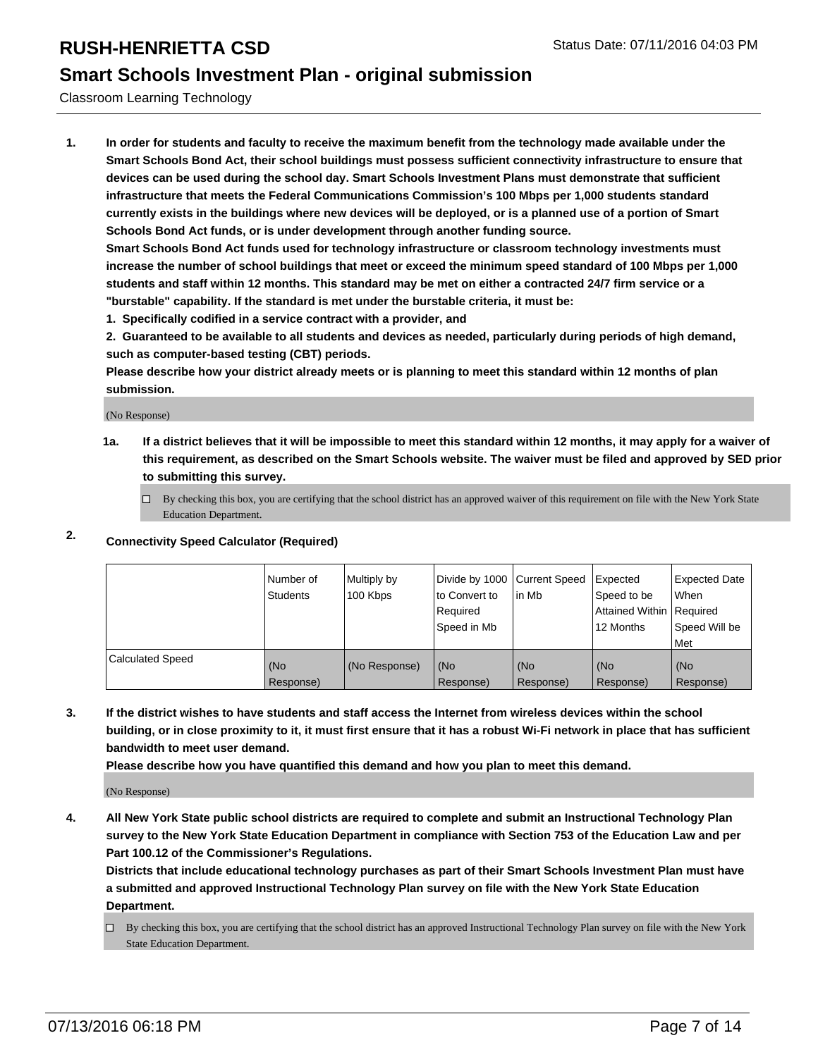### **Smart Schools Investment Plan - original submission**

Classroom Learning Technology

**1. In order for students and faculty to receive the maximum benefit from the technology made available under the Smart Schools Bond Act, their school buildings must possess sufficient connectivity infrastructure to ensure that devices can be used during the school day. Smart Schools Investment Plans must demonstrate that sufficient infrastructure that meets the Federal Communications Commission's 100 Mbps per 1,000 students standard currently exists in the buildings where new devices will be deployed, or is a planned use of a portion of Smart Schools Bond Act funds, or is under development through another funding source.**

**Smart Schools Bond Act funds used for technology infrastructure or classroom technology investments must increase the number of school buildings that meet or exceed the minimum speed standard of 100 Mbps per 1,000 students and staff within 12 months. This standard may be met on either a contracted 24/7 firm service or a "burstable" capability. If the standard is met under the burstable criteria, it must be:**

**1. Specifically codified in a service contract with a provider, and**

**2. Guaranteed to be available to all students and devices as needed, particularly during periods of high demand, such as computer-based testing (CBT) periods.**

**Please describe how your district already meets or is planning to meet this standard within 12 months of plan submission.**

(No Response)

**1a. If a district believes that it will be impossible to meet this standard within 12 months, it may apply for a waiver of this requirement, as described on the Smart Schools website. The waiver must be filed and approved by SED prior to submitting this survey.**

 $\Box$  By checking this box, you are certifying that the school district has an approved waiver of this requirement on file with the New York State Education Department.

#### **2. Connectivity Speed Calculator (Required)**

|                  | Number of<br><b>Students</b> | Multiply by<br>100 Kbps | Divide by 1000 Current Speed<br>Ito Convert to<br>Required<br>Speed in Mb | lin Mb           | Expected<br>Speed to be<br>Attained Within Required<br>12 Months | Expected Date<br>l When<br>Speed Will be<br>l Met |
|------------------|------------------------------|-------------------------|---------------------------------------------------------------------------|------------------|------------------------------------------------------------------|---------------------------------------------------|
| Calculated Speed | (No<br>Response)             | (No Response)           | (No<br>Response)                                                          | (No<br>Response) | (No<br>Response)                                                 | (No<br>Response)                                  |

**3. If the district wishes to have students and staff access the Internet from wireless devices within the school building, or in close proximity to it, it must first ensure that it has a robust Wi-Fi network in place that has sufficient bandwidth to meet user demand.**

**Please describe how you have quantified this demand and how you plan to meet this demand.**

(No Response)

**4. All New York State public school districts are required to complete and submit an Instructional Technology Plan survey to the New York State Education Department in compliance with Section 753 of the Education Law and per Part 100.12 of the Commissioner's Regulations.**

**Districts that include educational technology purchases as part of their Smart Schools Investment Plan must have a submitted and approved Instructional Technology Plan survey on file with the New York State Education Department.**

 $\Box$  By checking this box, you are certifying that the school district has an approved Instructional Technology Plan survey on file with the New York State Education Department.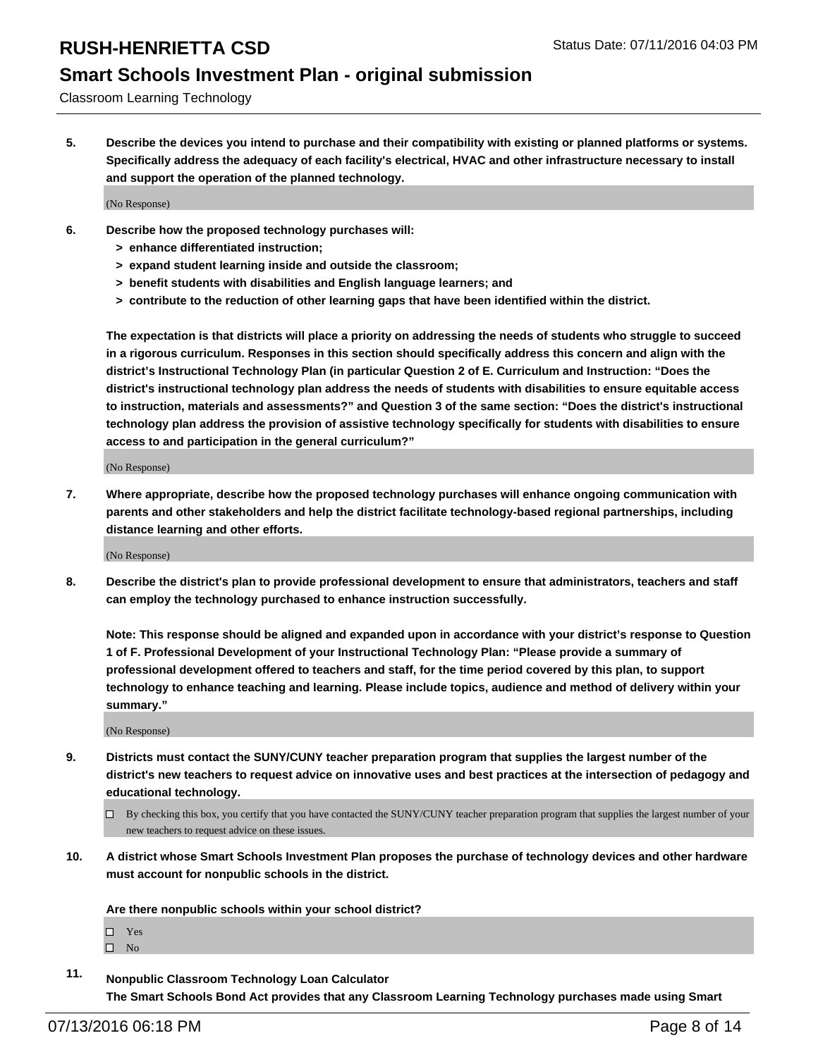### **Smart Schools Investment Plan - original submission**

Classroom Learning Technology

**5. Describe the devices you intend to purchase and their compatibility with existing or planned platforms or systems. Specifically address the adequacy of each facility's electrical, HVAC and other infrastructure necessary to install and support the operation of the planned technology.**

(No Response)

- **6. Describe how the proposed technology purchases will:**
	- **> enhance differentiated instruction;**
	- **> expand student learning inside and outside the classroom;**
	- **> benefit students with disabilities and English language learners; and**
	- **> contribute to the reduction of other learning gaps that have been identified within the district.**

**The expectation is that districts will place a priority on addressing the needs of students who struggle to succeed in a rigorous curriculum. Responses in this section should specifically address this concern and align with the district's Instructional Technology Plan (in particular Question 2 of E. Curriculum and Instruction: "Does the district's instructional technology plan address the needs of students with disabilities to ensure equitable access to instruction, materials and assessments?" and Question 3 of the same section: "Does the district's instructional technology plan address the provision of assistive technology specifically for students with disabilities to ensure access to and participation in the general curriculum?"**

(No Response)

**7. Where appropriate, describe how the proposed technology purchases will enhance ongoing communication with parents and other stakeholders and help the district facilitate technology-based regional partnerships, including distance learning and other efforts.**

(No Response)

**8. Describe the district's plan to provide professional development to ensure that administrators, teachers and staff can employ the technology purchased to enhance instruction successfully.**

**Note: This response should be aligned and expanded upon in accordance with your district's response to Question 1 of F. Professional Development of your Instructional Technology Plan: "Please provide a summary of professional development offered to teachers and staff, for the time period covered by this plan, to support technology to enhance teaching and learning. Please include topics, audience and method of delivery within your summary."**

(No Response)

- **9. Districts must contact the SUNY/CUNY teacher preparation program that supplies the largest number of the district's new teachers to request advice on innovative uses and best practices at the intersection of pedagogy and educational technology.**
	- $\Box$  By checking this box, you certify that you have contacted the SUNY/CUNY teacher preparation program that supplies the largest number of your new teachers to request advice on these issues.
- **10. A district whose Smart Schools Investment Plan proposes the purchase of technology devices and other hardware must account for nonpublic schools in the district.**

**Are there nonpublic schools within your school district?**

□ Yes

 $\square$  No

**11. Nonpublic Classroom Technology Loan Calculator The Smart Schools Bond Act provides that any Classroom Learning Technology purchases made using Smart**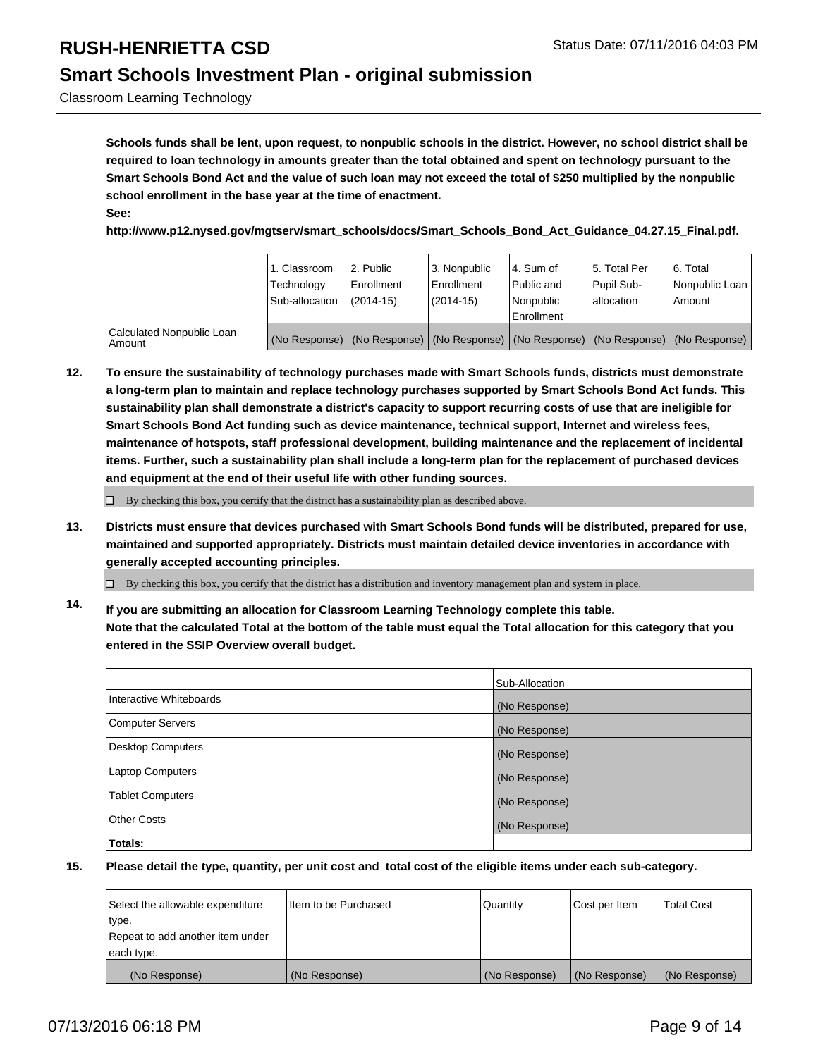### **Smart Schools Investment Plan - original submission**

Classroom Learning Technology

**Schools funds shall be lent, upon request, to nonpublic schools in the district. However, no school district shall be required to loan technology in amounts greater than the total obtained and spent on technology pursuant to the Smart Schools Bond Act and the value of such loan may not exceed the total of \$250 multiplied by the nonpublic school enrollment in the base year at the time of enactment. See:**

**http://www.p12.nysed.gov/mgtserv/smart\_schools/docs/Smart\_Schools\_Bond\_Act\_Guidance\_04.27.15\_Final.pdf.**

|                                     | 1. Classroom<br>Technology<br>Sub-allocation | 2. Public<br>l Enrollment<br>$(2014 - 15)$ | 3. Nonpublic<br>l Enrollment<br>$(2014 - 15)$ | l 4. Sum of<br>Public and<br>l Nonpublic<br>Enrollment | 5. Total Per<br>Pupil Sub-<br>lallocation | 6. Total<br>Nonpublic Loan<br>Amount                                                          |
|-------------------------------------|----------------------------------------------|--------------------------------------------|-----------------------------------------------|--------------------------------------------------------|-------------------------------------------|-----------------------------------------------------------------------------------------------|
| Calculated Nonpublic Loan<br>Amount |                                              |                                            |                                               |                                                        |                                           | (No Response)   (No Response)   (No Response)   (No Response)   (No Response)   (No Response) |

**12. To ensure the sustainability of technology purchases made with Smart Schools funds, districts must demonstrate a long-term plan to maintain and replace technology purchases supported by Smart Schools Bond Act funds. This sustainability plan shall demonstrate a district's capacity to support recurring costs of use that are ineligible for Smart Schools Bond Act funding such as device maintenance, technical support, Internet and wireless fees, maintenance of hotspots, staff professional development, building maintenance and the replacement of incidental items. Further, such a sustainability plan shall include a long-term plan for the replacement of purchased devices and equipment at the end of their useful life with other funding sources.**

 $\Box$  By checking this box, you certify that the district has a sustainability plan as described above.

**13. Districts must ensure that devices purchased with Smart Schools Bond funds will be distributed, prepared for use, maintained and supported appropriately. Districts must maintain detailed device inventories in accordance with generally accepted accounting principles.**

By checking this box, you certify that the district has a distribution and inventory management plan and system in place.

**14. If you are submitting an allocation for Classroom Learning Technology complete this table. Note that the calculated Total at the bottom of the table must equal the Total allocation for this category that you entered in the SSIP Overview overall budget.**

|                          | Sub-Allocation |
|--------------------------|----------------|
| Interactive Whiteboards  | (No Response)  |
| Computer Servers         | (No Response)  |
| <b>Desktop Computers</b> | (No Response)  |
| Laptop Computers         | (No Response)  |
| <b>Tablet Computers</b>  | (No Response)  |
| Other Costs              | (No Response)  |
| Totals:                  |                |

| Select the allowable expenditure | I Item to be Purchased | Quantity      | Cost per Item | <b>Total Cost</b> |
|----------------------------------|------------------------|---------------|---------------|-------------------|
| type.                            |                        |               |               |                   |
| Repeat to add another item under |                        |               |               |                   |
| each type.                       |                        |               |               |                   |
| (No Response)                    | (No Response)          | (No Response) | (No Response) | (No Response)     |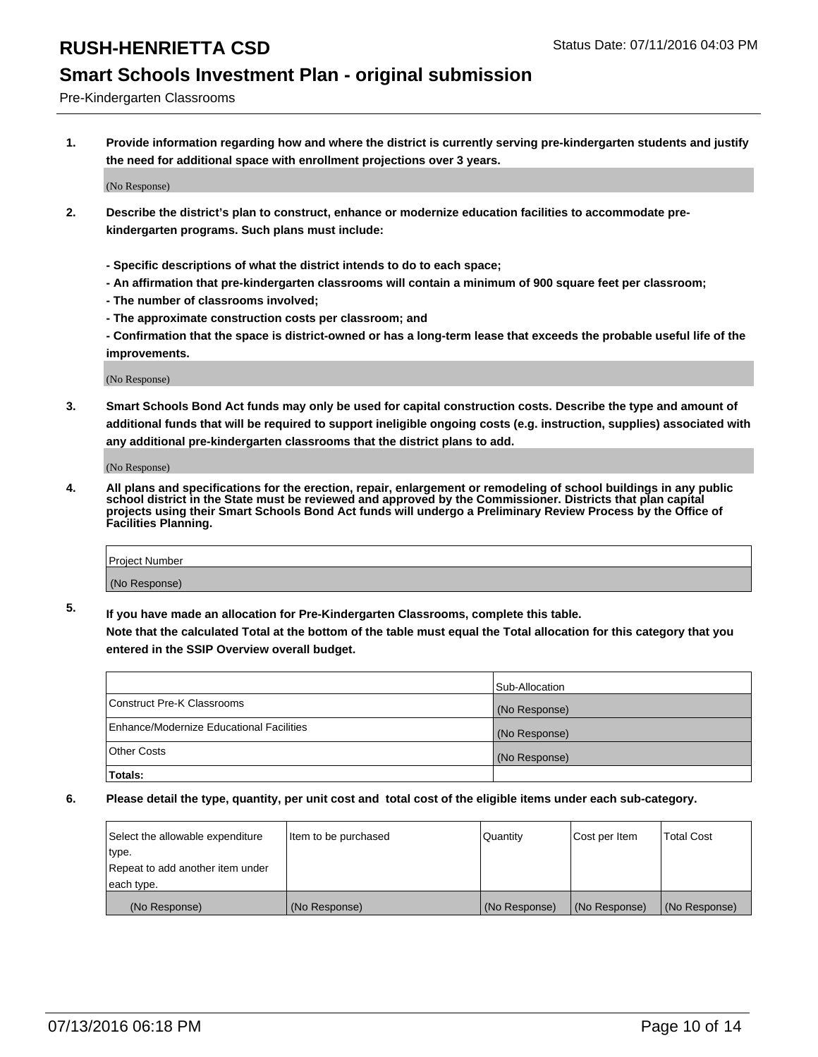### **Smart Schools Investment Plan - original submission**

Pre-Kindergarten Classrooms

**1. Provide information regarding how and where the district is currently serving pre-kindergarten students and justify the need for additional space with enrollment projections over 3 years.**

(No Response)

- **2. Describe the district's plan to construct, enhance or modernize education facilities to accommodate prekindergarten programs. Such plans must include:**
	- **Specific descriptions of what the district intends to do to each space;**
	- **An affirmation that pre-kindergarten classrooms will contain a minimum of 900 square feet per classroom;**
	- **The number of classrooms involved;**
	- **The approximate construction costs per classroom; and**
	- **Confirmation that the space is district-owned or has a long-term lease that exceeds the probable useful life of the improvements.**

(No Response)

**3. Smart Schools Bond Act funds may only be used for capital construction costs. Describe the type and amount of additional funds that will be required to support ineligible ongoing costs (e.g. instruction, supplies) associated with any additional pre-kindergarten classrooms that the district plans to add.**

(No Response)

**4. All plans and specifications for the erection, repair, enlargement or remodeling of school buildings in any public school district in the State must be reviewed and approved by the Commissioner. Districts that plan capital projects using their Smart Schools Bond Act funds will undergo a Preliminary Review Process by the Office of Facilities Planning.**

| Project Number |  |
|----------------|--|
| (No Response)  |  |

**5. If you have made an allocation for Pre-Kindergarten Classrooms, complete this table. Note that the calculated Total at the bottom of the table must equal the Total allocation for this category that you**

**entered in the SSIP Overview overall budget.**

|                                          | Sub-Allocation |
|------------------------------------------|----------------|
| Construct Pre-K Classrooms               | (No Response)  |
| Enhance/Modernize Educational Facilities | (No Response)  |
| Other Costs                              | (No Response)  |
| Totals:                                  |                |

| Select the allowable expenditure | Item to be purchased | Quantity      | Cost per Item | <b>Total Cost</b> |
|----------------------------------|----------------------|---------------|---------------|-------------------|
| type.                            |                      |               |               |                   |
| Repeat to add another item under |                      |               |               |                   |
| each type.                       |                      |               |               |                   |
| (No Response)                    | (No Response)        | (No Response) | (No Response) | (No Response)     |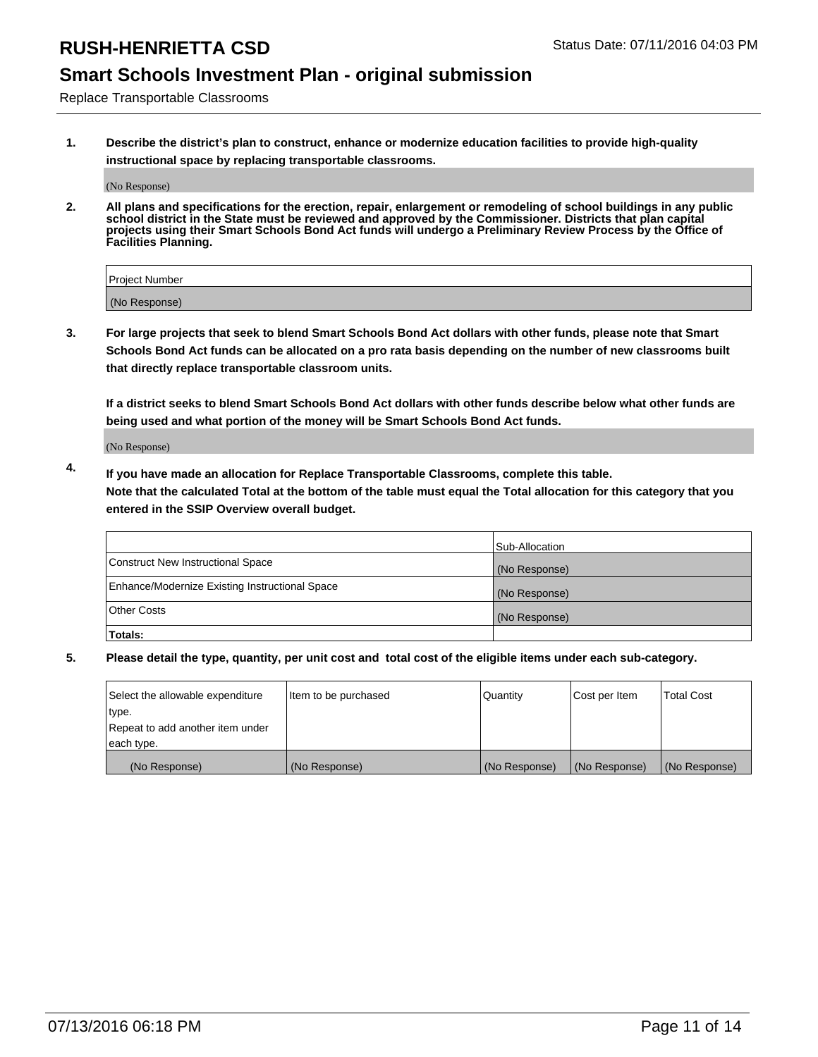## **Smart Schools Investment Plan - original submission**

Replace Transportable Classrooms

**1. Describe the district's plan to construct, enhance or modernize education facilities to provide high-quality instructional space by replacing transportable classrooms.**

(No Response)

**2. All plans and specifications for the erection, repair, enlargement or remodeling of school buildings in any public school district in the State must be reviewed and approved by the Commissioner. Districts that plan capital projects using their Smart Schools Bond Act funds will undergo a Preliminary Review Process by the Office of Facilities Planning.**

| Project Number |  |
|----------------|--|
| (No Response)  |  |

**3. For large projects that seek to blend Smart Schools Bond Act dollars with other funds, please note that Smart Schools Bond Act funds can be allocated on a pro rata basis depending on the number of new classrooms built that directly replace transportable classroom units.**

**If a district seeks to blend Smart Schools Bond Act dollars with other funds describe below what other funds are being used and what portion of the money will be Smart Schools Bond Act funds.**

(No Response)

**4. If you have made an allocation for Replace Transportable Classrooms, complete this table. Note that the calculated Total at the bottom of the table must equal the Total allocation for this category that you entered in the SSIP Overview overall budget.**

|                                                | Sub-Allocation |
|------------------------------------------------|----------------|
| Construct New Instructional Space              | (No Response)  |
| Enhance/Modernize Existing Instructional Space | (No Response)  |
| Other Costs                                    | (No Response)  |
| Totals:                                        |                |

| Select the allowable expenditure | Item to be purchased | Quantity      | Cost per Item | <b>Total Cost</b> |
|----------------------------------|----------------------|---------------|---------------|-------------------|
| type.                            |                      |               |               |                   |
| Repeat to add another item under |                      |               |               |                   |
| each type.                       |                      |               |               |                   |
| (No Response)                    | (No Response)        | (No Response) | (No Response) | (No Response)     |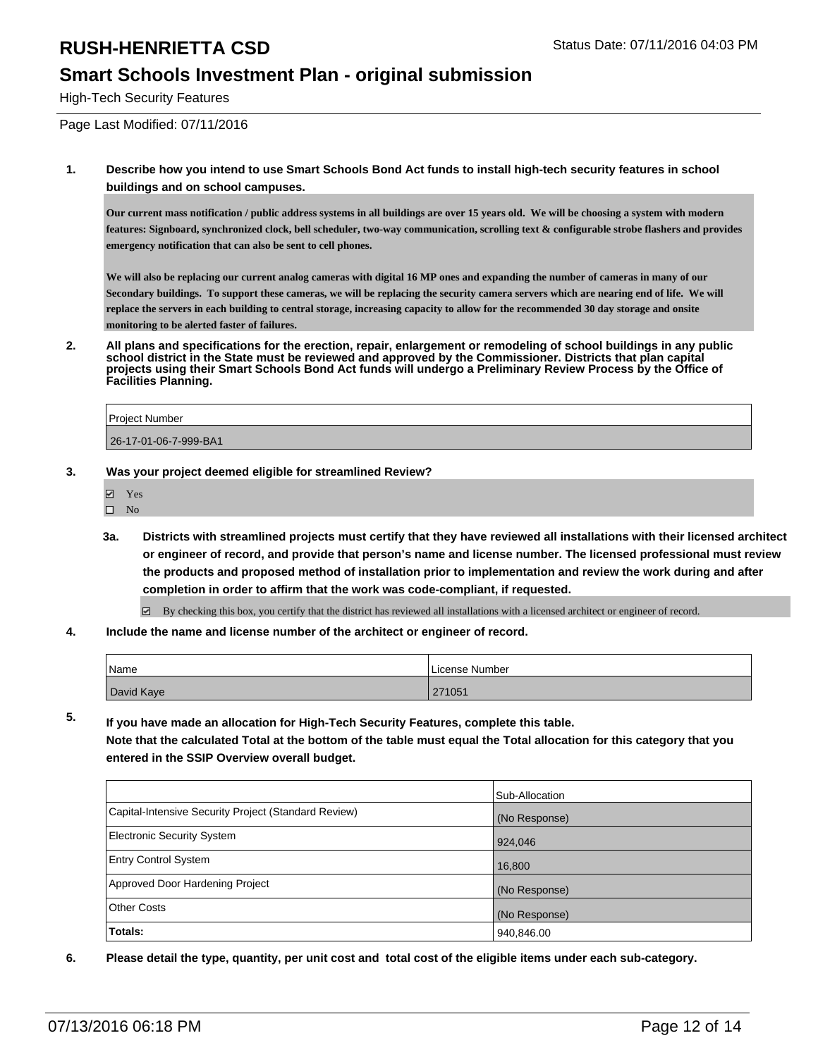#### **Smart Schools Investment Plan - original submission**

High-Tech Security Features

Page Last Modified: 07/11/2016

**1. Describe how you intend to use Smart Schools Bond Act funds to install high-tech security features in school buildings and on school campuses.**

**Our current mass notification / public address systems in all buildings are over 15 years old. We will be choosing a system with modern features: Signboard, synchronized clock, bell scheduler, two-way communication, scrolling text & configurable strobe flashers and provides emergency notification that can also be sent to cell phones.**

**We will also be replacing our current analog cameras with digital 16 MP ones and expanding the number of cameras in many of our Secondary buildings. To support these cameras, we will be replacing the security camera servers which are nearing end of life. We will replace the servers in each building to central storage, increasing capacity to allow for the recommended 30 day storage and onsite monitoring to be alerted faster of failures.**

**2. All plans and specifications for the erection, repair, enlargement or remodeling of school buildings in any public school district in the State must be reviewed and approved by the Commissioner. Districts that plan capital projects using their Smart Schools Bond Act funds will undergo a Preliminary Review Process by the Office of Facilities Planning.** 

| <b>Project Number</b> |  |
|-----------------------|--|
| 26-17-01-06-7-999-BA1 |  |

- **3. Was your project deemed eligible for streamlined Review?**
	- Yes
	- $\qquad \qquad$  No
	- **3a. Districts with streamlined projects must certify that they have reviewed all installations with their licensed architect or engineer of record, and provide that person's name and license number. The licensed professional must review the products and proposed method of installation prior to implementation and review the work during and after completion in order to affirm that the work was code-compliant, if requested.**
		- $\boxtimes$  By checking this box, you certify that the district has reviewed all installations with a licensed architect or engineer of record.
- **4. Include the name and license number of the architect or engineer of record.**

| Name       | License Number |
|------------|----------------|
| David Kaye | 271051         |

**5. If you have made an allocation for High-Tech Security Features, complete this table.**

**Note that the calculated Total at the bottom of the table must equal the Total allocation for this category that you entered in the SSIP Overview overall budget.**

|                                                      | Sub-Allocation |
|------------------------------------------------------|----------------|
| Capital-Intensive Security Project (Standard Review) | (No Response)  |
| <b>Electronic Security System</b>                    | 924,046        |
| <b>Entry Control System</b>                          | 16,800         |
| Approved Door Hardening Project                      | (No Response)  |
| <b>Other Costs</b>                                   | (No Response)  |
| Totals:                                              | 940,846.00     |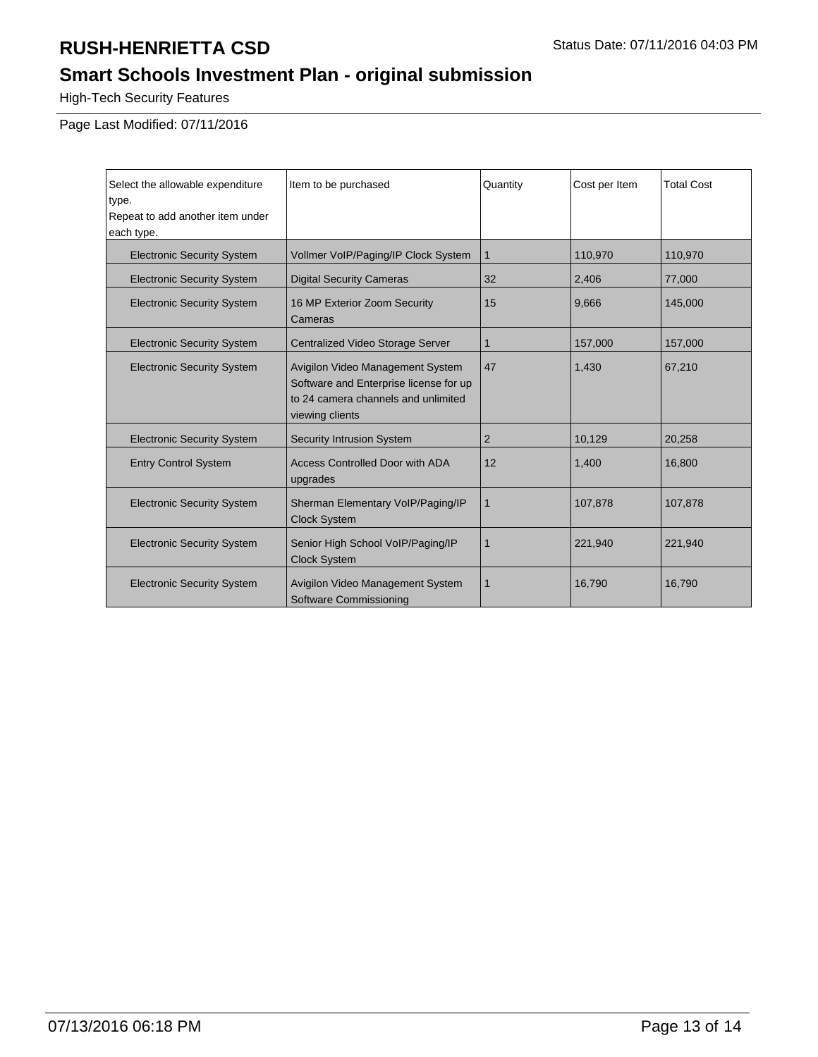# **Smart Schools Investment Plan - original submission**

High-Tech Security Features

Page Last Modified: 07/11/2016

| Select the allowable expenditure<br>type.<br>Repeat to add another item under<br>each type. | Item to be purchased                                                                                                                 | Quantity | Cost per Item | <b>Total Cost</b> |
|---------------------------------------------------------------------------------------------|--------------------------------------------------------------------------------------------------------------------------------------|----------|---------------|-------------------|
| <b>Electronic Security System</b>                                                           | Vollmer VoIP/Paging/IP Clock System                                                                                                  | 1        | 110,970       | 110,970           |
| <b>Electronic Security System</b>                                                           | <b>Digital Security Cameras</b>                                                                                                      | 32       | 2,406         | 77,000            |
| <b>Electronic Security System</b>                                                           | 16 MP Exterior Zoom Security<br>Cameras                                                                                              | 15       | 9,666         | 145,000           |
| <b>Electronic Security System</b>                                                           | Centralized Video Storage Server                                                                                                     | 1        | 157,000       | 157,000           |
| <b>Electronic Security System</b>                                                           | Avigilon Video Management System<br>Software and Enterprise license for up<br>to 24 camera channels and unlimited<br>viewing clients | 47       | 1,430         | 67,210            |
| <b>Electronic Security System</b>                                                           | <b>Security Intrusion System</b>                                                                                                     | 2        | 10,129        | 20,258            |
| <b>Entry Control System</b>                                                                 | <b>Access Controlled Door with ADA</b><br>upgrades                                                                                   | 12       | 1,400         | 16,800            |
| <b>Electronic Security System</b>                                                           | Sherman Elementary VolP/Paging/IP<br><b>Clock System</b>                                                                             | 1        | 107,878       | 107,878           |
| <b>Electronic Security System</b>                                                           | Senior High School VolP/Paging/IP<br><b>Clock System</b>                                                                             | 1        | 221,940       | 221,940           |
| <b>Electronic Security System</b>                                                           | Avigilon Video Management System<br>Software Commissioning                                                                           | 1        | 16,790        | 16,790            |